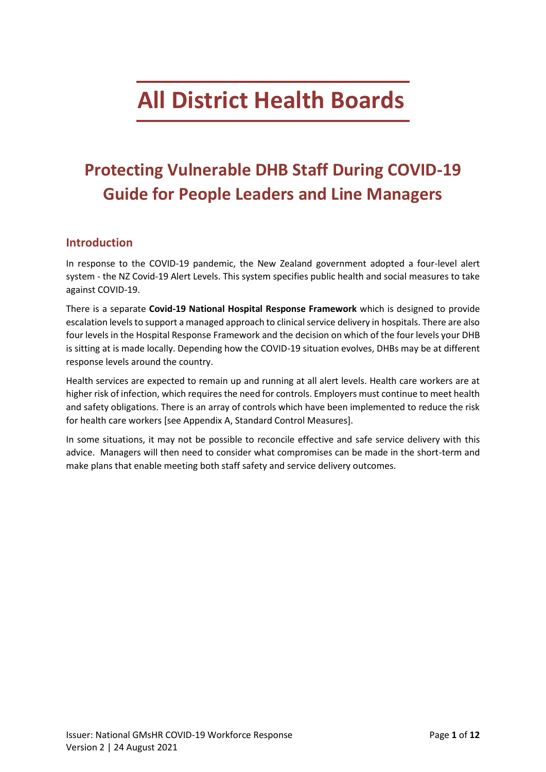# <span id="page-0-0"></span>**All District Health Boards**

## <span id="page-0-1"></span>**Protecting Vulnerable DHB Staff During COVID-19 Guide for People Leaders and Line Managers**

#### <span id="page-0-2"></span>**Introduction**

In response to the COVID-19 pandemic, the New Zealand government adopted a four-level alert system - the NZ Covid-19 Alert Levels. This system specifies public health and social measures to take against COVID-19.

There is a separate **Covid-19 National Hospital Response Framework** which is designed to provide escalation levels to support a managed approach to clinical service delivery in hospitals. There are also four levels in the Hospital Response Framework and the decision on which of the four levels your DHB is sitting at is made locally. Depending how the COVID-19 situation evolves, DHBs may be at different response levels around the country.

Health services are expected to remain up and running at all alert levels. Health care workers are at higher risk of infection, which requires the need for controls. Employers must continue to meet health and safety obligations. There is an array of controls which have been implemented to reduce the risk for health care workers [see Appendix A, Standard Control Measures].

In some situations, it may not be possible to reconcile effective and safe service delivery with this advice. Managers will then need to consider what compromises can be made in the short-term and make plans that enable meeting both staff safety and service delivery outcomes.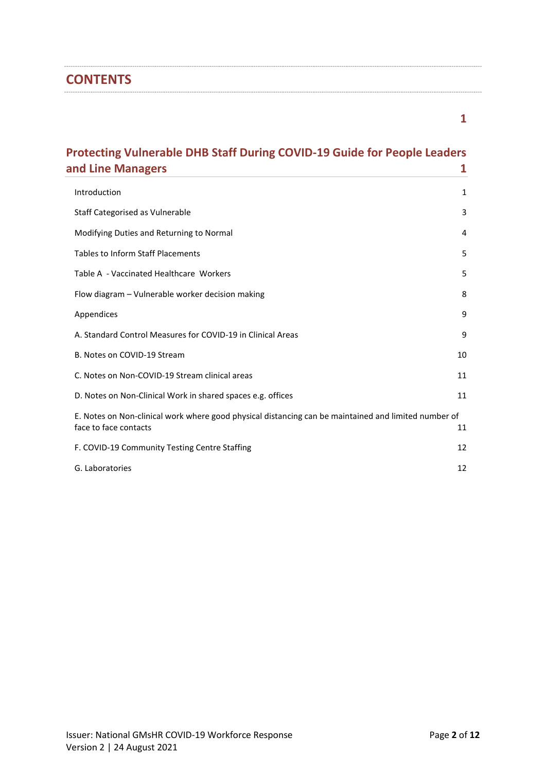#### **CONTENTS**

**[1](#page-0-0)**

## **[Protecting Vulnerable DHB Staff During COVID-19 Guide for People Leaders](#page-0-1)  [and Line Managers](#page-0-1) 1**

| Introduction                                                                                                                  | 1  |
|-------------------------------------------------------------------------------------------------------------------------------|----|
| Staff Categorised as Vulnerable                                                                                               | 3  |
| Modifying Duties and Returning to Normal                                                                                      | 4  |
| <b>Tables to Inform Staff Placements</b>                                                                                      | 5  |
| Table A - Vaccinated Healthcare Workers                                                                                       | 5  |
| Flow diagram - Vulnerable worker decision making                                                                              | 8  |
| Appendices                                                                                                                    | 9  |
| A. Standard Control Measures for COVID-19 in Clinical Areas                                                                   | 9  |
| B. Notes on COVID-19 Stream                                                                                                   | 10 |
| C. Notes on Non-COVID-19 Stream clinical areas                                                                                | 11 |
| D. Notes on Non-Clinical Work in shared spaces e.g. offices                                                                   | 11 |
| E. Notes on Non-clinical work where good physical distancing can be maintained and limited number of<br>face to face contacts | 11 |
| F. COVID-19 Community Testing Centre Staffing                                                                                 | 12 |
| G. Laboratories                                                                                                               | 12 |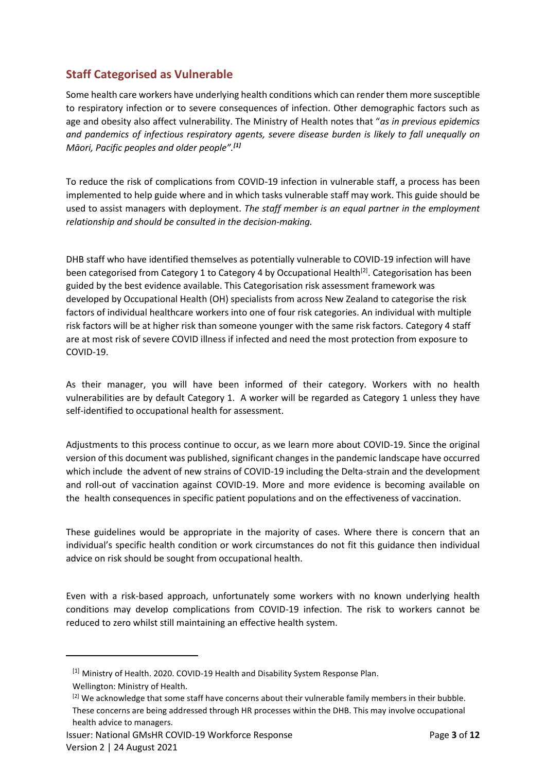#### <span id="page-2-0"></span>**Staff Categorised as Vulnerable**

Some health care workers have underlying health conditions which can render them more susceptible to respiratory infection or to severe consequences of infection. Other demographic factors such as age and obesity also affect vulnerability. The Ministry of Health notes that "*as in previous epidemics and pandemics of infectious respiratory agents, severe disease burden is likely to fall unequally on Māori, Pacific peoples and older people".[1]*

To reduce the risk of complications from COVID-19 infection in vulnerable staff, a process has been implemented to help guide where and in which tasks vulnerable staff may work. This guide should be used to assist managers with deployment. *The staff member is an equal partner in the employment relationship and should be consulted in the decision-making.*

DHB staff who have identified themselves as potentially vulnerable to COVID-19 infection will have been categorised from Category 1 to Category 4 by Occupational Health<sup>[2]</sup>. Categorisation has been guided by the best evidence available. This Categorisation risk assessment framework was developed by Occupational Health (OH) specialists from across New Zealand to categorise the risk factors of individual healthcare workers into one of four risk categories. An individual with multiple risk factors will be at higher risk than someone younger with the same risk factors. Category 4 staff are at most risk of severe COVID illness if infected and need the most protection from exposure to COVID-19.

As their manager, you will have been informed of their category. Workers with no health vulnerabilities are by default Category 1. A worker will be regarded as Category 1 unless they have self-identified to occupational health for assessment.

Adjustments to this process continue to occur, as we learn more about COVID-19. Since the original version of this document was published, significant changes in the pandemic landscape have occurred which include the advent of new strains of COVID-19 including the Delta-strain and the development and roll-out of vaccination against COVID-19. More and more evidence is becoming available on the health consequences in specific patient populations and on the effectiveness of vaccination.

These guidelines would be appropriate in the majority of cases. Where there is concern that an individual's specific health condition or work circumstances do not fit this guidance then individual advice on risk should be sought from occupational health.

Even with a risk-based approach, unfortunately some workers with no known underlying health conditions may develop complications from COVID-19 infection. The risk to workers cannot be reduced to zero whilst still maintaining an effective health system.

 $\overline{\phantom{a}}$ 

<sup>[1]</sup> Ministry of Health. 2020. COVID-19 Health and Disability System Response Plan.

Wellington: Ministry of Health.

<sup>&</sup>lt;sup>[2]</sup> We acknowledge that some staff have concerns about their vulnerable family members in their bubble. These concerns are being addressed through HR processes within the DHB. This may involve occupational health advice to managers.

Issuer: National GMsHR COVID-19 Workforce Response Page **3** of **12** Version 2 | 24 August 2021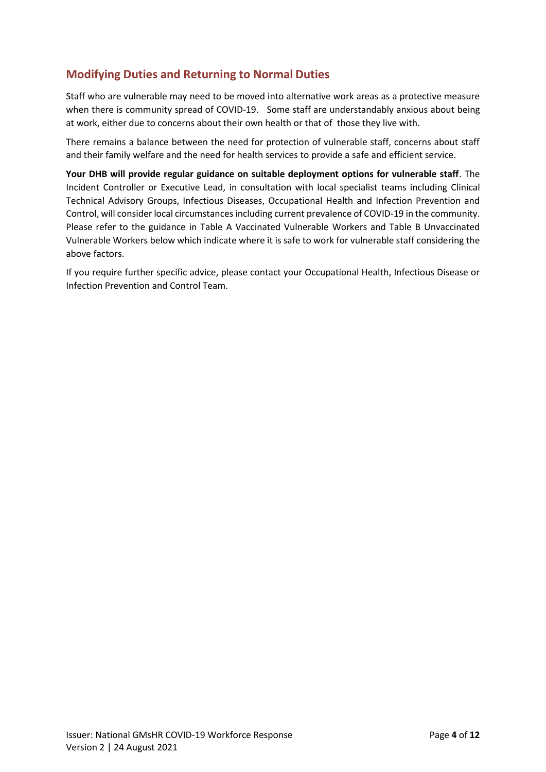#### <span id="page-3-0"></span>**Modifying Duties and Returning to Normal Duties**

Staff who are vulnerable may need to be moved into alternative work areas as a protective measure when there is community spread of COVID-19. Some staff are understandably anxious about being at work, either due to concerns about their own health or that of those they live with.

There remains a balance between the need for protection of vulnerable staff, concerns about staff and their family welfare and the need for health services to provide a safe and efficient service.

**Your DHB will provide regular guidance on suitable deployment options for vulnerable staff**. The Incident Controller or Executive Lead, in consultation with local specialist teams including Clinical Technical Advisory Groups, Infectious Diseases, Occupational Health and Infection Prevention and Control, will consider local circumstances including current prevalence of COVID-19 in the community. Please refer to the guidance in Table A Vaccinated Vulnerable Workers and Table B Unvaccinated Vulnerable Workers below which indicate where it is safe to work for vulnerable staff considering the above factors.

If you require further specific advice, please contact your Occupational Health, Infectious Disease or Infection Prevention and Control Team.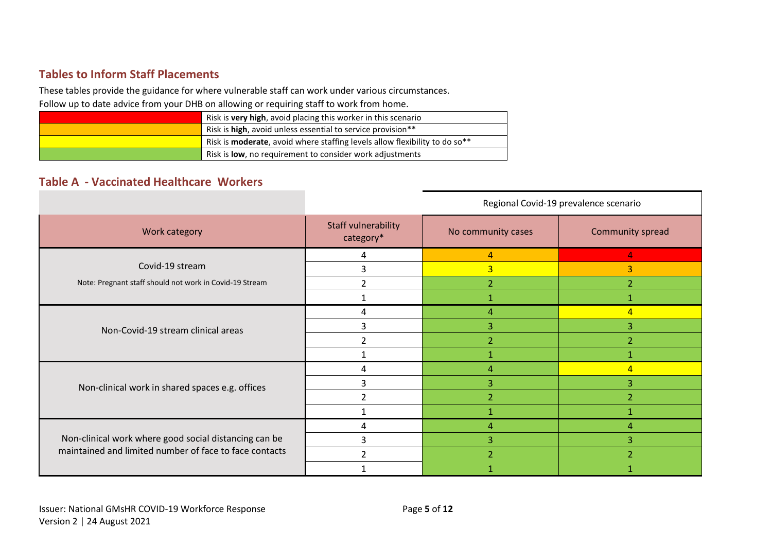#### **Tables to Inform Staff Placements**

These tables provide the guidance for where vulnerable staff can work under various circumstances.

Follow up to date advice from your DHB on allowing or requiring staff to work from home.

| Risk is very high, avoid placing this worker in this scenario                                  |
|------------------------------------------------------------------------------------------------|
| Risk is high, avoid unless essential to service provision**                                    |
| Risk is <b>moderate</b> , avoid where staffing levels allow flexibility to do so <sup>**</sup> |
| Risk is <b>low</b> , no requirement to consider work adjustments                               |

## **Table A - Vaccinated Healthcare Workers**

<span id="page-4-1"></span><span id="page-4-0"></span>

|                                                                                                                 | Regional Covid-19 prevalence scenario   |                    |                  |
|-----------------------------------------------------------------------------------------------------------------|-----------------------------------------|--------------------|------------------|
| Work category                                                                                                   | <b>Staff vulnerability</b><br>category* | No community cases | Community spread |
|                                                                                                                 | 4                                       | $\overline{4}$     | 4                |
| Covid-19 stream                                                                                                 | 3                                       | $\overline{3}$     | $\vert 3 \vert$  |
| Note: Pregnant staff should not work in Covid-19 Stream                                                         | $\overline{2}$                          | $\overline{2}$     | 2                |
|                                                                                                                 |                                         | $\mathbf{1}$       | $\mathbf 1$      |
| Non-Covid-19 stream clinical areas                                                                              | 4                                       | $\overline{4}$     | $\overline{4}$   |
|                                                                                                                 | 3                                       | 3                  | 3                |
|                                                                                                                 | $\overline{2}$                          | $\overline{2}$     | 2                |
|                                                                                                                 |                                         |                    |                  |
| Non-clinical work in shared spaces e.g. offices                                                                 | 4                                       | $\overline{4}$     | $\overline{4}$   |
|                                                                                                                 | 3                                       | 3                  | 3                |
|                                                                                                                 | $\overline{2}$                          | $\overline{2}$     | $\overline{2}$   |
|                                                                                                                 |                                         |                    |                  |
| Non-clinical work where good social distancing can be<br>maintained and limited number of face to face contacts | 4                                       | $\overline{4}$     | 4                |
|                                                                                                                 | 3                                       | 3                  | 3                |
|                                                                                                                 | $\overline{2}$                          | $\overline{2}$     | $\overline{2}$   |
|                                                                                                                 |                                         |                    |                  |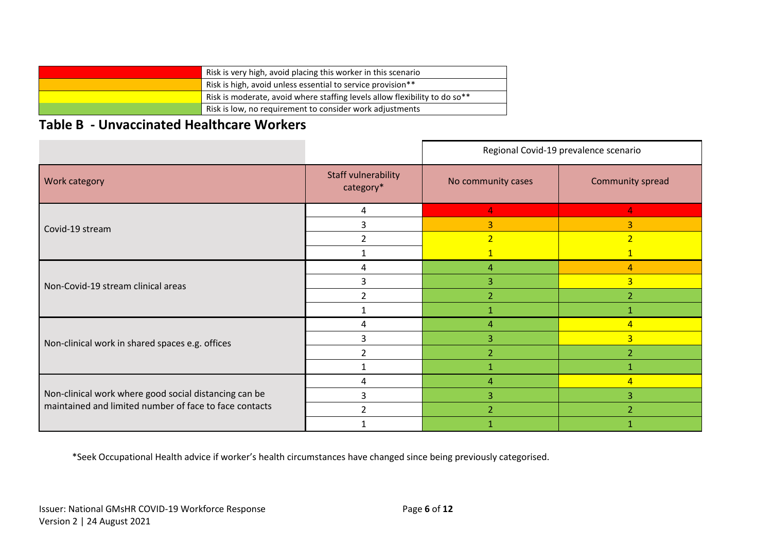| Risk is very high, avoid placing this worker in this scenario              |
|----------------------------------------------------------------------------|
| Risk is high, avoid unless essential to service provision**                |
| Risk is moderate, avoid where staffing levels allow flexibility to do so** |
| Risk is low, no requirement to consider work adjustments                   |

## **Table B - Unvaccinated Healthcare Workers**

|                                                                                                                 |                                  | Regional Covid-19 prevalence scenario |                  |
|-----------------------------------------------------------------------------------------------------------------|----------------------------------|---------------------------------------|------------------|
| Work category                                                                                                   | Staff vulnerability<br>category* | No community cases                    | Community spread |
| Covid-19 stream                                                                                                 | 4                                | 4                                     | 4                |
|                                                                                                                 | 3                                | 3                                     | 3                |
|                                                                                                                 | $\mathfrak{p}$                   | 2 <sup>1</sup>                        | $\overline{2}$   |
|                                                                                                                 |                                  |                                       | $\mathbf{1}$     |
| Non-Covid-19 stream clinical areas                                                                              | 4                                | 4                                     | $\overline{4}$   |
|                                                                                                                 | 3                                | 3                                     | $\overline{3}$   |
|                                                                                                                 | $\overline{2}$                   | $\overline{2}$                        | $\overline{2}$   |
|                                                                                                                 |                                  |                                       | 1                |
| Non-clinical work in shared spaces e.g. offices                                                                 | 4                                | 4                                     | $\overline{4}$   |
|                                                                                                                 | 3                                | 3                                     | $\overline{3}$   |
|                                                                                                                 | $\mathfrak{D}$                   | $\overline{2}$                        | $\overline{2}$   |
|                                                                                                                 |                                  |                                       |                  |
| Non-clinical work where good social distancing can be<br>maintained and limited number of face to face contacts | 4                                | 4                                     | $\overline{4}$   |
|                                                                                                                 | 3                                | 3                                     | 3                |
|                                                                                                                 | $\mathfrak{D}$                   | $\overline{2}$                        | っ                |
|                                                                                                                 |                                  |                                       |                  |

\*Seek Occupational Health advice if worker's health circumstances have changed since being previously categorised.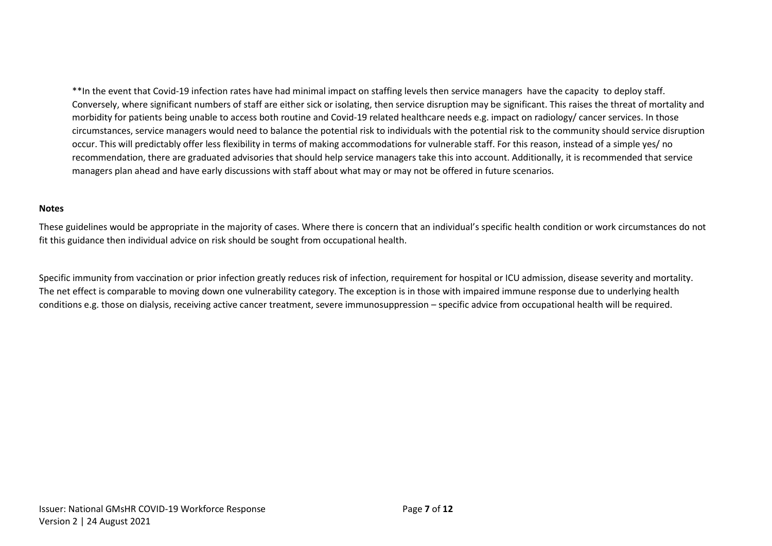\*\*In the event that Covid-19 infection rates have had minimal impact on staffing levels then service managers have the capacity to deploy staff. Conversely, where significant numbers of staff are either sick or isolating, then service disruption may be significant. This raises the threat of mortality and morbidity for patients being unable to access both routine and Covid-19 related healthcare needs e.g. impact on radiology/ cancer services. In those circumstances, service managers would need to balance the potential risk to individuals with the potential risk to the community should service disruption occur. This will predictably offer less flexibility in terms of making accommodations for vulnerable staff. For this reason, instead of a simple yes/ no recommendation, there are graduated advisories that should help service managers take this into account. Additionally, it is recommended that service managers plan ahead and have early discussions with staff about what may or may not be offered in future scenarios.

#### **Notes**

These guidelines would be appropriate in the majority of cases. Where there is concern that an individual's specific health condition or work circumstances do not fit this guidance then individual advice on risk should be sought from occupational health.

Specific immunity from vaccination or prior infection greatly reduces risk of infection, requirement for hospital or ICU admission, disease severity and mortality. The net effect is comparable to moving down one vulnerability category. The exception is in those with impaired immune response due to underlying health conditions e.g. those on dialysis, receiving active cancer treatment, severe immunosuppression – specific advice from occupational health will be required.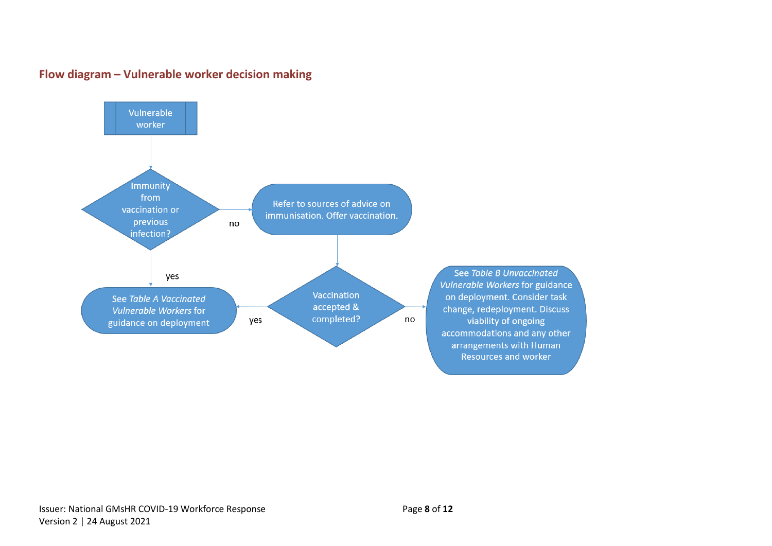

yes

Vaccination

accepted &

completed?

#### **Flow diagram – Vulnerable worker decision making**

<span id="page-7-0"></span>See Table A Vaccinated Vulnerable Workers for guidance on deployment

See Table B Unvaccinated Vulnerable Workers for guidance on deployment. Consider task change, redeployment. Discuss viability of ongoing accommodations and any other arrangements with Human Resources and worker

Issuer: National GMsHR COVID-19 Workforce Response **Page 8** of 12 Version 2 | 24 August 2021

no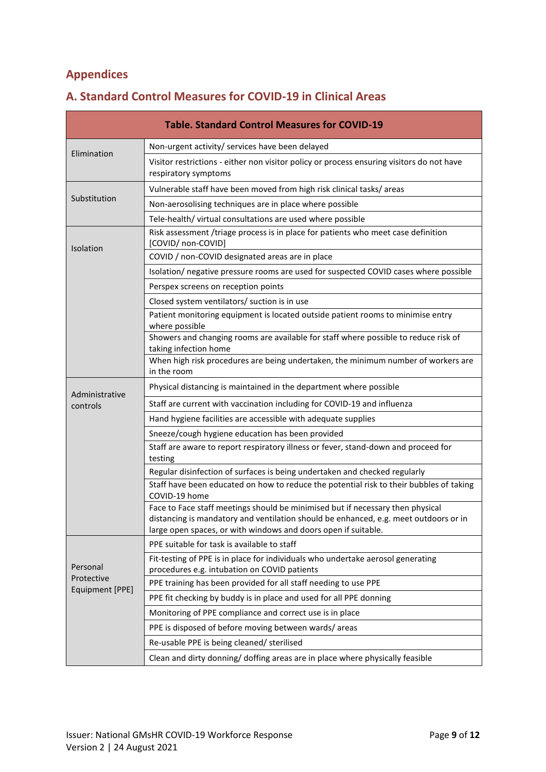#### <span id="page-8-0"></span>**Appendices**

| <b>Table. Standard Control Measures for COVID-19</b> |                                                                                                                                                                                                                                          |  |  |
|------------------------------------------------------|------------------------------------------------------------------------------------------------------------------------------------------------------------------------------------------------------------------------------------------|--|--|
| Elimination                                          | Non-urgent activity/ services have been delayed                                                                                                                                                                                          |  |  |
|                                                      | Visitor restrictions - either non visitor policy or process ensuring visitors do not have<br>respiratory symptoms                                                                                                                        |  |  |
|                                                      | Vulnerable staff have been moved from high risk clinical tasks/ areas                                                                                                                                                                    |  |  |
| Substitution                                         | Non-aerosolising techniques are in place where possible                                                                                                                                                                                  |  |  |
|                                                      | Tele-health/ virtual consultations are used where possible                                                                                                                                                                               |  |  |
| <b>Isolation</b>                                     | Risk assessment /triage process is in place for patients who meet case definition<br>[COVID/ non-COVID]                                                                                                                                  |  |  |
|                                                      | COVID / non-COVID designated areas are in place                                                                                                                                                                                          |  |  |
|                                                      | Isolation/ negative pressure rooms are used for suspected COVID cases where possible                                                                                                                                                     |  |  |
|                                                      | Perspex screens on reception points                                                                                                                                                                                                      |  |  |
|                                                      | Closed system ventilators/ suction is in use                                                                                                                                                                                             |  |  |
|                                                      | Patient monitoring equipment is located outside patient rooms to minimise entry<br>where possible                                                                                                                                        |  |  |
|                                                      | Showers and changing rooms are available for staff where possible to reduce risk of<br>taking infection home                                                                                                                             |  |  |
|                                                      | When high risk procedures are being undertaken, the minimum number of workers are<br>in the room                                                                                                                                         |  |  |
| Administrative                                       | Physical distancing is maintained in the department where possible                                                                                                                                                                       |  |  |
| controls                                             | Staff are current with vaccination including for COVID-19 and influenza                                                                                                                                                                  |  |  |
|                                                      | Hand hygiene facilities are accessible with adequate supplies                                                                                                                                                                            |  |  |
|                                                      | Sneeze/cough hygiene education has been provided                                                                                                                                                                                         |  |  |
|                                                      | Staff are aware to report respiratory illness or fever, stand-down and proceed for<br>testing                                                                                                                                            |  |  |
|                                                      | Regular disinfection of surfaces is being undertaken and checked regularly                                                                                                                                                               |  |  |
|                                                      | Staff have been educated on how to reduce the potential risk to their bubbles of taking<br>COVID-19 home                                                                                                                                 |  |  |
|                                                      | Face to Face staff meetings should be minimised but if necessary then physical<br>distancing is mandatory and ventilation should be enhanced, e.g. meet outdoors or in<br>large open spaces, or with windows and doors open if suitable. |  |  |
|                                                      | PPE suitable for task is available to staff                                                                                                                                                                                              |  |  |
| Personal<br>Protective<br>Equipment [PPE]            | Fit-testing of PPE is in place for individuals who undertake aerosol generating<br>procedures e.g. intubation on COVID patients                                                                                                          |  |  |
|                                                      | PPE training has been provided for all staff needing to use PPE                                                                                                                                                                          |  |  |
|                                                      | PPE fit checking by buddy is in place and used for all PPE donning                                                                                                                                                                       |  |  |
|                                                      | Monitoring of PPE compliance and correct use is in place                                                                                                                                                                                 |  |  |
|                                                      | PPE is disposed of before moving between wards/areas                                                                                                                                                                                     |  |  |
|                                                      | Re-usable PPE is being cleaned/ sterilised                                                                                                                                                                                               |  |  |
|                                                      | Clean and dirty donning/ doffing areas are in place where physically feasible                                                                                                                                                            |  |  |

### <span id="page-8-1"></span>**A. Standard Control Measures for COVID-19 in Clinical Areas**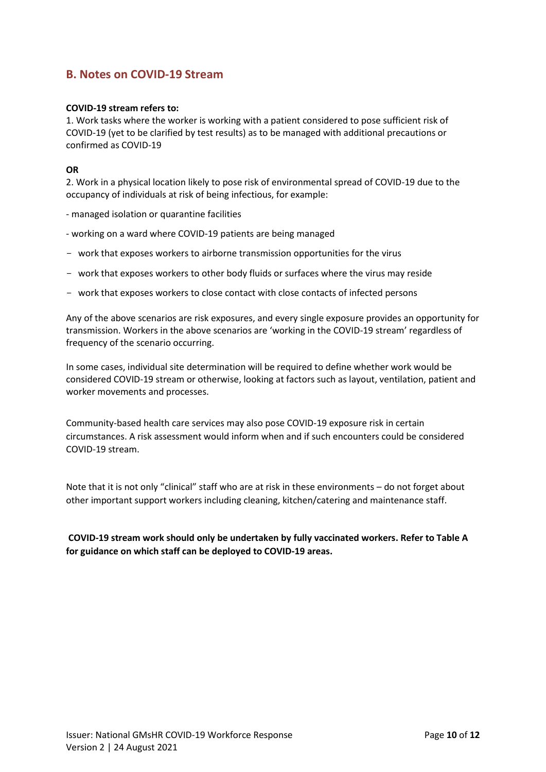#### <span id="page-9-0"></span>**B. Notes on COVID-19 Stream**

#### **COVID-19 stream refers to:**

1. Work tasks where the worker is working with a patient considered to pose sufficient risk of COVID-19 (yet to be clarified by test results) as to be managed with additional precautions or confirmed as COVID-19

#### **OR**

2. Work in a physical location likely to pose risk of environmental spread of COVID-19 due to the occupancy of individuals at risk of being infectious, for example:

- managed isolation or quarantine facilities
- working on a ward where COVID-19 patients are being managed
- work that exposes workers to airborne transmission opportunities for the virus
- work that exposes workers to other body fluids or surfaces where the virus may reside
- work that exposes workers to close contact with close contacts of infected persons

Any of the above scenarios are risk exposures, and every single exposure provides an opportunity for transmission. Workers in the above scenarios are 'working in the COVID-19 stream' regardless of frequency of the scenario occurring.

In some cases, individual site determination will be required to define whether work would be considered COVID-19 stream or otherwise, looking at factors such as layout, ventilation, patient and worker movements and processes.

Community-based health care services may also pose COVID-19 exposure risk in certain circumstances. A risk assessment would inform when and if such encounters could be considered COVID-19 stream.

Note that it is not only "clinical" staff who are at risk in these environments – do not forget about other important support workers including cleaning, kitchen/catering and maintenance staff.

**COVID-19 stream work should only be undertaken by fully vaccinated workers. Refer to Table A for guidance on which staff can be deployed to COVID-19 areas.**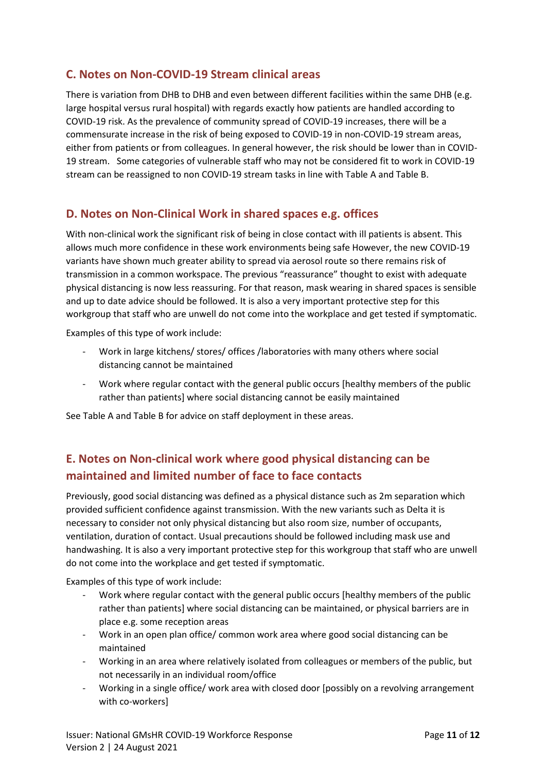#### <span id="page-10-0"></span>**C. Notes on Non-COVID-19 Stream clinical areas**

There is variation from DHB to DHB and even between different facilities within the same DHB (e.g. large hospital versus rural hospital) with regards exactly how patients are handled according to COVID-19 risk. As the prevalence of community spread of COVID-19 increases, there will be a commensurate increase in the risk of being exposed to COVID-19 in non-COVID-19 stream areas, either from patients or from colleagues. In general however, the risk should be lower than in COVID-19 stream. Some categories of vulnerable staff who may not be considered fit to work in COVID-19 stream can be reassigned to non COVID-19 stream tasks in line with Table A and Table B.

#### <span id="page-10-1"></span>**D. Notes on Non-Clinical Work in shared spaces e.g. offices**

With non-clinical work the significant risk of being in close contact with ill patients is absent. This allows much more confidence in these work environments being safe However, the new COVID-19 variants have shown much greater ability to spread via aerosol route so there remains risk of transmission in a common workspace. The previous "reassurance" thought to exist with adequate physical distancing is now less reassuring. For that reason, mask wearing in shared spaces is sensible and up to date advice should be followed. It is also a very important protective step for this workgroup that staff who are unwell do not come into the workplace and get tested if symptomatic.

Examples of this type of work include:

- Work in large kitchens/ stores/ offices /laboratories with many others where social distancing cannot be maintained
- Work where regular contact with the general public occurs [healthy members of the public rather than patients] where social distancing cannot be easily maintained

See Table A and Table B for advice on staff deployment in these areas.

#### <span id="page-10-2"></span>**E. Notes on Non-clinical work where good physical distancing can be maintained and limited number of face to face contacts**

Previously, good social distancing was defined as a physical distance such as 2m separation which provided sufficient confidence against transmission. With the new variants such as Delta it is necessary to consider not only physical distancing but also room size, number of occupants, ventilation, duration of contact. Usual precautions should be followed including mask use and handwashing. It is also a very important protective step for this workgroup that staff who are unwell do not come into the workplace and get tested if symptomatic.

Examples of this type of work include:

- Work where regular contact with the general public occurs [healthy members of the public rather than patients] where social distancing can be maintained, or physical barriers are in place e.g. some reception areas
- Work in an open plan office/ common work area where good social distancing can be maintained
- Working in an area where relatively isolated from colleagues or members of the public, but not necessarily in an individual room/office
- Working in a single office/ work area with closed door [possibly on a revolving arrangement with co-workers]